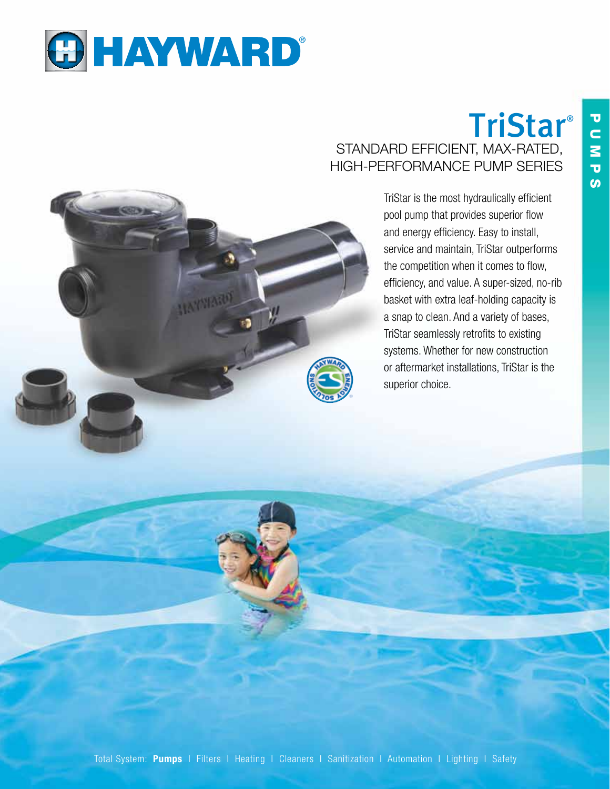

# **TriStar®** STANDARD EFFICIENT, MAX-RATED, high-performance pump series

TriStar is the most hydraulically efficient pool pump that provides superior flow and energy efficiency. Easy to install, service and maintain, TriStar outperforms the competition when it comes to flow, efficiency, and value. A super-sized, no-rib basket with extra leaf-holding capacity is a snap to clean. And a variety of bases, TriStar seamlessly retrofits to existing systems. Whether for new construction or aftermarket installations, TriStar is the superior choice.

T<br>N N<br>M ับ <u>ທ</u>